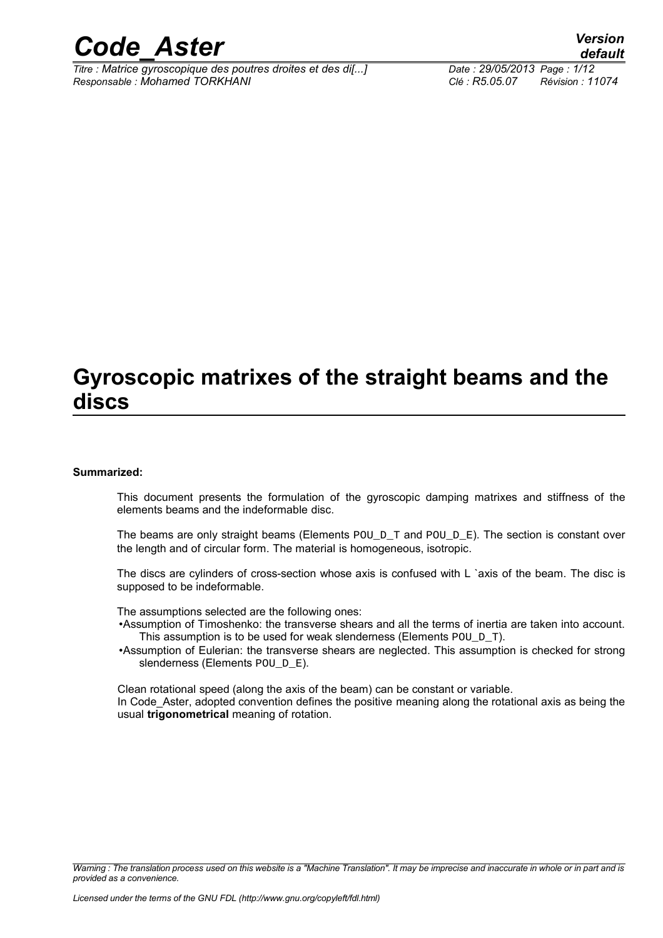

*Titre : Matrice gyroscopique des poutres droites et des di[...] Date : 29/05/2013 Page : 1/12 Responsable : Mohamed TORKHANI Clé : R5.05.07 Révision : 11074*

### **Gyroscopic matrixes of the straight beams and the discs**

#### **Summarized:**

This document presents the formulation of the gyroscopic damping matrixes and stiffness of the elements beams and the indeformable disc.

The beams are only straight beams (Elements  $POU_D_T$  and  $POU_D_E$ ). The section is constant over the length and of circular form. The material is homogeneous, isotropic.

The discs are cylinders of cross-section whose axis is confused with L `axis of the beam. The disc is supposed to be indeformable.

The assumptions selected are the following ones:

•Assumption of Timoshenko: the transverse shears and all the terms of inertia are taken into account. This assumption is to be used for weak slenderness (Elements  $P[O]$ 

•Assumption of Eulerian: the transverse shears are neglected. This assumption is checked for strong slenderness (Elements POU D E).

Clean rotational speed (along the axis of the beam) can be constant or variable. In Code Aster, adopted convention defines the positive meaning along the rotational axis as being the usual **trigonometrical** meaning of rotation.

*Warning : The translation process used on this website is a "Machine Translation". It may be imprecise and inaccurate in whole or in part and is provided as a convenience.*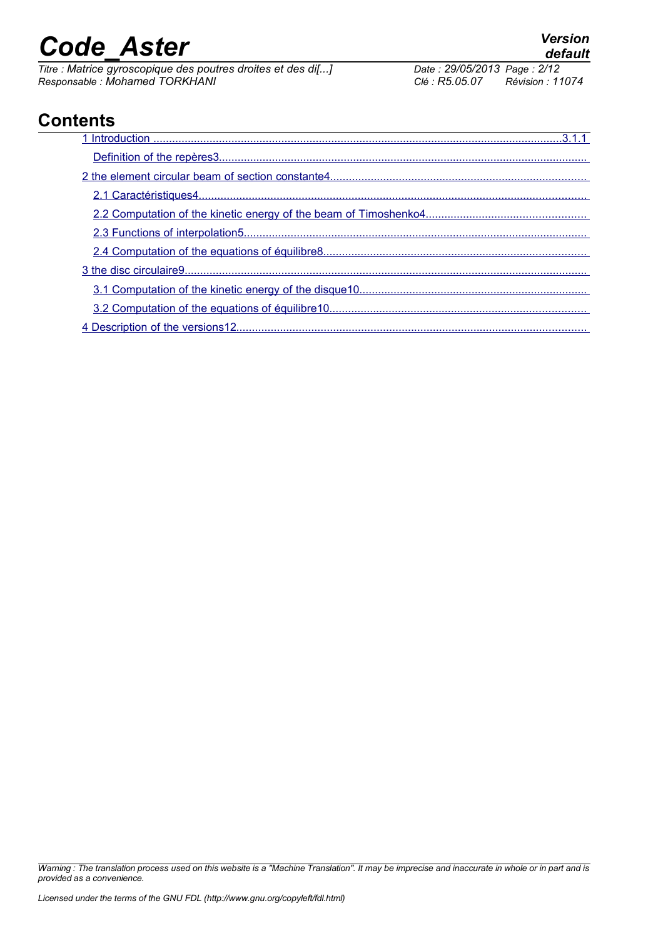*Titre : Matrice gyroscopique des poutres droites et des di[...] Date : 29/05/2013 Page : 2/12 Responsable : Mohamed TORKHANI Clé : R5.05.07 Révision : 11074*

### **Contents**

| 1 Introduction |
|----------------|
|                |
|                |
|                |
|                |
|                |
|                |
|                |
|                |
|                |
|                |

*Warning : The translation process used on this website is a "Machine Translation". It may be imprecise and inaccurate in whole or in part and is provided as a convenience.*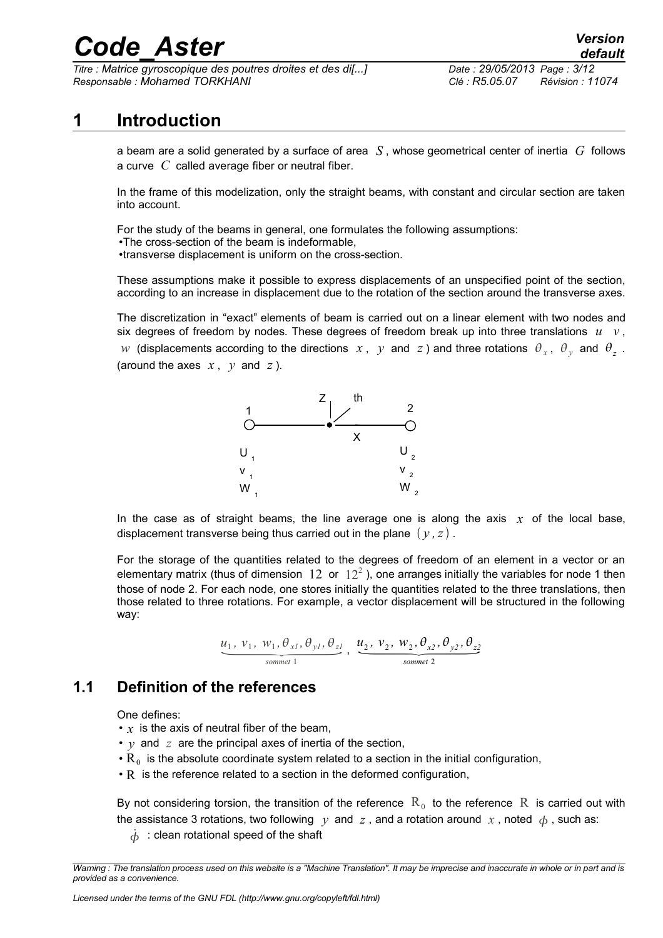*Titre : Matrice gyroscopique des poutres droites et des di[...] Date : 29/05/2013 Page : 3/12 Responsable : Mohamed TORKHANI Clé : R5.05.07 Révision : 11074*

### **1 Introduction**

<span id="page-2-0"></span>a beam are a solid generated by a surface of area *S* , whose geometrical center of inertia *G* follows a curve *C* called average fiber or neutral fiber.

In the frame of this modelization, only the straight beams, with constant and circular section are taken into account.

For the study of the beams in general, one formulates the following assumptions:

•The cross-section of the beam is indeformable, •transverse displacement is uniform on the cross-section.

These assumptions make it possible to express displacements of an unspecified point of the section, according to an increase in displacement due to the rotation of the section around the transverse axes.

The discretization in "exact" elements of beam is carried out on a linear element with two nodes and six degrees of freedom by nodes. These degrees of freedom break up into three translations  $u \dot{v}$ , *w* (displacements according to the directions  $x$ ,  $y$  and  $z$ ) and three rotations  $\theta_x$ ,  $\theta_y$  and  $\theta_z$ . (around the axes  $x, y$  and  $z$ ).



In the case as of straight beams, the line average one is along the axis  $x$  of the local base, displacement transverse being thus carried out in the plane  $(y, z)$ .

For the storage of the quantities related to the degrees of freedom of an element in a vector or an elementary matrix (thus of dimension  $~12~$  or  $~12^2$  ), one arranges initially the variables for node 1 then those of node 2. For each node, one stores initially the quantities related to the three translations, then those related to three rotations. For example, a vector displacement will be structured in the following way: *x* **h** are quantities related to the degrees of freedom of a rus of dimension 12 or  $12^2$ ), one arranges initially each node, one stores initially the quantities related the rotations. For example, a vector displacement

$$
\underbrace{u_1, v_1, w_1, \theta_{xl}, \theta_{yl}, \theta_{zl}}_{\textit{sommet 1}}, \underbrace{u_2, v_2, w_2, \theta_{x2}, \theta_{y2}, \theta_{z2}}_{\textit{sommet 2}}
$$

### **1.1 Definition of the references**

<span id="page-2-1"></span>One defines:

- $\cdot$  *x* is the axis of neutral fiber of the beam,
- *y* and *z* are the principal axes of inertia of the section,
- $\cdot$  R<sub>0</sub> is the absolute coordinate system related to a section in the initial configuration,
- $\cdot$  R is the reference related to a section in the deformed configuration,

By not considering torsion, the transition of the reference  $\mathrm{R}_{\mathrm{0}}$  to the reference  $\mathrm{R}_{\mathrm{0}}$  is carried out with the assistance 3 rotations, two following  $y$  and  $z$ , and a rotation around  $x$ , noted  $\phi$ , such as:

 $\dot{\phi}$ : clean rotational speed of the shaft

*Warning : The translation process used on this website is a "Machine Translation". It may be imprecise and inaccurate in whole or in part and is provided as a convenience.*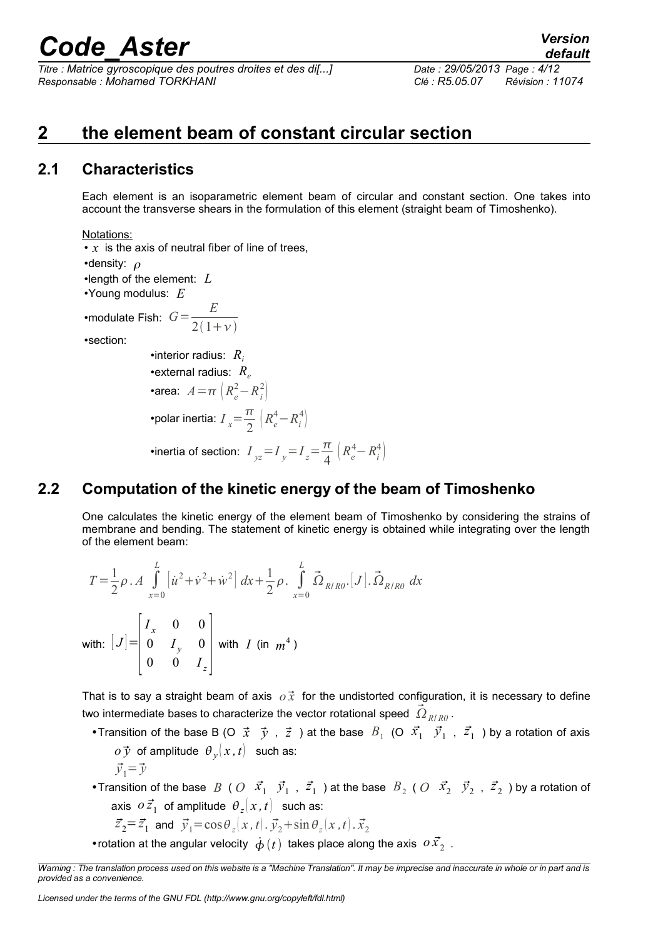*Titre : Matrice gyroscopique des poutres droites et des di[...] Date : 29/05/2013 Page : 4/12 Responsable : Mohamed TORKHANI Clé : R5.05.07 Révision : 11074*

*default*

### <span id="page-3-2"></span>**2 the element beam of constant circular section**

#### **2.1 Characteristics**

<span id="page-3-1"></span>Each element is an isoparametric element beam of circular and constant section. One takes into account the transverse shears in the formulation of this element (straight beam of Timoshenko).

Notations:

• x is the axis of neutral fiber of line of trees,

 $2(1+\nu)$ 

•density:  $\rho$ 

•length of the element: *L*

•Young modulus: *E*

•modulate Fish:  $G = \frac{E}{2(1 - \epsilon)}$ 

•section:

•interior radius: *R<sup>i</sup>* •external radius:  $R_e$ •area:  $A = \pi \left( R_e^2 - R_i^2 \right)$ •polar inertia:  $I_x = \frac{\pi}{2}$  $\frac{\pi}{2}\left(R_e^4 - R_i^4\right)$ •inertia of section:  $I_{yz} = I_y = I_z = \frac{\pi}{4}$  $\frac{\pi}{4}\left(R_e^4 - R_i^4\right)$ 

#### **2.2 Computation of the kinetic energy of the beam of Timoshenko**

<span id="page-3-0"></span>One calculates the kinetic energy of the element beam of Timoshenko by considering the strains of membrane and bending. The statement of kinetic energy is obtained while integrating over the length of the element beam:

$$
T = \frac{1}{2}\rho \cdot A \int_{x=0}^{L} \left[ \dot{u}^2 + \dot{v}^2 + \dot{w}^2 \right] dx + \frac{1}{2}\rho \int_{x=0}^{L} \vec{\Omega}_{R/R0} [J] \cdot \vec{\Omega}_{R/R0} dx
$$
  
with:  $[J] = \begin{bmatrix} I_x & 0 & 0 \\ 0 & I_y & 0 \\ 0 & 0 & I_z \end{bmatrix}$  with  $I$  (in  $m^4$ )

That is to say a straight beam of axis  $\rho \vec{x}$  for the undistorted configuration, it is necessary to define two intermediate bases to characterize the vector rotational speed  $\left.\vec\Omega_{\scriptscriptstyle R/R0}\right.^{}$ 

• Transition of the base B (O  $\vec{x}$   $\vec{y}$  ,  $\vec{z}$  ) at the base  $B_1$  (O  $\vec{x_1}$   $\vec{y_1}$  ,  $\vec{z_1}$  ) by a rotation of axis  $o\,\mathcal{\vec{y}}\,$  of amplitude  $\left.\theta_{\left.\mathcal{\vec{y}}\right.}\right|\left.\mathcal{\vec{x}}\,,t\right|\,\,$  such as:

$$
\vec{y}_1 = \vec{y}
$$

• Transition of the base  $B$  (  $O$   $\vec{x_1}$   $\vec{y_1}$  ,  $\vec{z_1}$  ) at the base  $B_2$  (  $O$   $\vec{x_2}$   $\vec{y_2}$  ,  $\vec{z_2}$  ) by a rotation of axis  $\left. \begin{matrix} o \, \vec{z}_1 \end{matrix} \right.$  of amplitude  $\left. \begin{matrix} \theta_z(x,t) \end{matrix} \right.$  such as:

$$
\vec{z}_2 = \vec{z}_1
$$
 and  $\vec{y}_1 = \cos\theta_z(x, t)$ .  $\vec{y}_2 + \sin\theta_z(x, t)$ .  $\vec{x}_2$ 

• rotation at the angular velocity  $\dot{\phi}(t)$  takes place along the axis  $\sigma \vec{x_2}$ .

*Warning : The translation process used on this website is a "Machine Translation". It may be imprecise and inaccurate in whole or in part and is provided as a convenience.*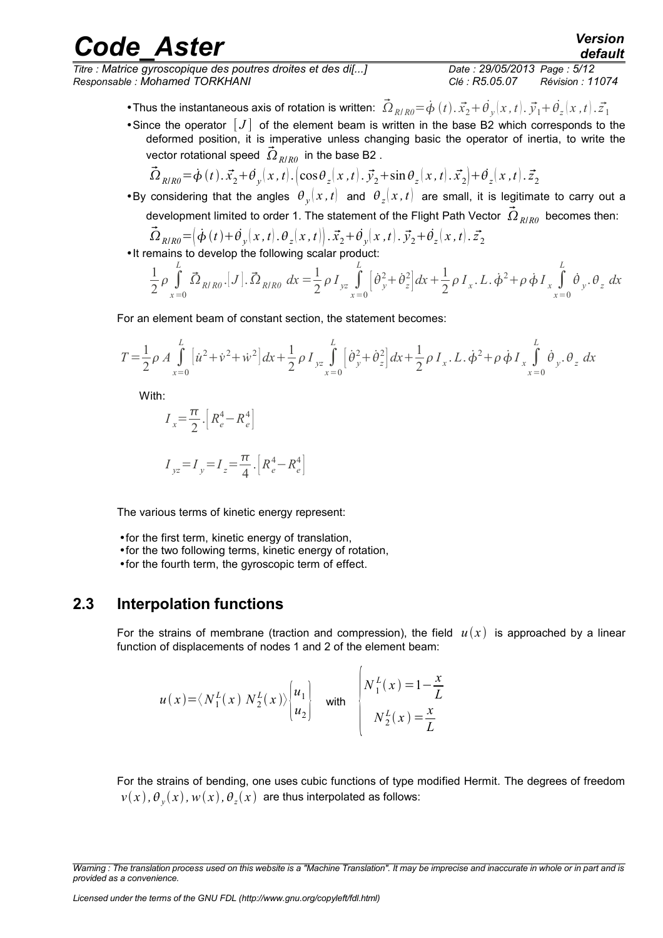*Titre : Matrice gyroscopique des poutres droites et des di[...] Date : 29/05/2013 Page : 5/12 Responsable : Mohamed TORKHANI Clé : R5.05.07 Révision : 11074*

*default*

- Thus the instantaneous axis of rotation is written:  $\vec{\Omega}_{R/R0} = \dot{\phi}(t) . \vec{x_2} + \dot{\theta}_y(x, t) . \vec{y_1} + \dot{\theta_z}(x, t) . \vec{z_1}$
- Since the operator  $[J]$  of the element beam is written in the base B2 which corresponds to the deformed position, it is imperative unless changing basic the operator of inertia, to write the vector rotational speed  $\left.\vec{\Omega}_{R/R0}\right.$  in the base B2 .

$$
\vec{\Omega}_{R/R0} = \dot{\phi}(t) \cdot \vec{x_2} + \dot{\theta_y}(x, t) \cdot \left( \cos \theta_z(x, t) \cdot \vec{y_2} + \sin \theta_z(x, t) \cdot \vec{x_2} \right) + \dot{\theta_z}(x, t) \cdot \vec{z_2}
$$

•By considering that the angles  $\theta_y(x,t)$  and  $\theta_z(x,t)$  are small, it is legitimate to carry out a development limited to order 1. The statement of the Flight Path Vector  $\vec\Omega_{R/R\theta}$  becomes then:

$$
\vec{\Omega}_{R/R0} = \left(\dot{\phi}(t) + \dot{\theta}_y(x, t) \cdot \theta_z(x, t)\right) \cdot \vec{x}_2 + \dot{\theta}_y(x, t) \cdot \vec{y}_2 + \dot{\theta}_z(x, t) \cdot \vec{z}_2
$$
\n• It remains to develop the following scalar product:

$$
\frac{1}{2}\rho \int_{x=0}^{L} \vec{\Omega}_{R/R0}.[J].\vec{\Omega}_{R/R0} dx = \frac{1}{2}\rho I_{yz} \int_{x=0}^{L} [\dot{\theta}_{y}^{2} + \dot{\theta}_{z}^{2}] dx + \frac{1}{2}\rho I_{x}.L.\dot{\phi}^{2} + \rho \dot{\phi} I_{x} \int_{x=0}^{L} \dot{\theta}_{y}. \theta_{z} dx
$$

For an element beam of constant section, the statement becomes:

$$
T = \frac{1}{2}\rho A \int_{x=0}^{L} \left[ \dot{u}^2 + \dot{v}^2 + \dot{w}^2 \right] dx + \frac{1}{2}\rho I_{yz} \int_{x=0}^{L} \left[ \dot{\theta}_y^2 + \dot{\theta}_z^2 \right] dx + \frac{1}{2}\rho I_x \cdot L \cdot \dot{\phi}^2 + \rho \dot{\phi} I_x \int_{x=0}^{L} \dot{\theta}_y \cdot \theta_z dx
$$

With:

$$
I_x = \frac{\pi}{2} \left[ R_e^4 - R_e^4 \right]
$$
  

$$
I_{yz} = I_y = I_z = \frac{\pi}{4} \left[ R_e^4 - R_e^4 \right]
$$

The various terms of kinetic energy represent:

•for the first term, kinetic energy of translation,

- •for the two following terms, kinetic energy of rotation,
- •for the fourth term, the gyroscopic term of effect.

#### **2.3 Interpolation functions**

<span id="page-4-0"></span>For the strains of membrane (traction and compression), the field  $u(x)$  is approached by a linear function of displacements of nodes 1 and 2 of the element beam:

$$
u(x) = \langle N_1^L(x) N_2^L(x) \rangle \begin{cases} u_1 \\ u_2 \end{cases} \quad \text{with} \quad \begin{cases} N_1^L(x) = 1 - \frac{x}{L} \\ N_2^L(x) = \frac{x}{L} \end{cases}
$$

For the strains of bending, one uses cubic functions of type modified Hermit. The degrees of freedom  $v(x)$  ,  $\theta_{_{\mathcal{Y}}}(x)$  ,  $w(x)$  ,  $\theta_{_{\mathcal{Z}}}(x)$  are thus interpolated as follows:

*Warning : The translation process used on this website is a "Machine Translation". It may be imprecise and inaccurate in whole or in part and is provided as a convenience.*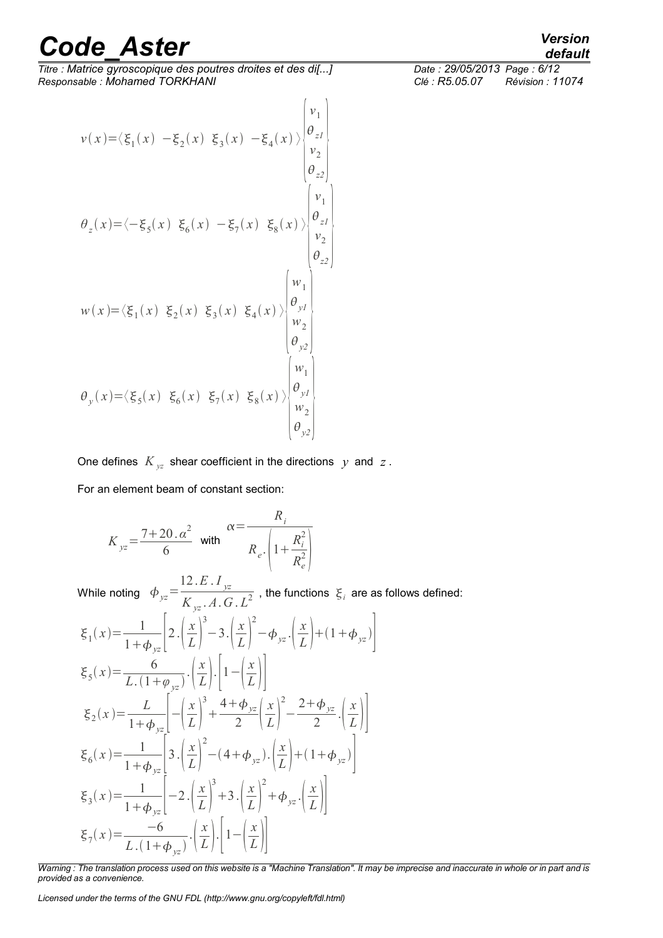*Titre : Matrice gyroscopique des poutres droites et des di[...] Date : 29/05/2013 Page : 6/12 Responsable : Mohamed TORKHANI Clé : R5.05.07 Révision : 11074*

$$
v(x)=\langle \xi_1(x) - \xi_2(x) \xi_3(x) - \xi_4(x) \rangle \begin{pmatrix} v_1 \\ v_2 \\ v_2 \\ v_3 \\ \theta_{z2} \end{pmatrix}
$$
  
\n
$$
\theta_z(x)=\langle -\xi_5(x) \xi_6(x) - \xi_7(x) \xi_8(x) \rangle \begin{pmatrix} v_1 \\ v_2 \\ v_3 \\ v_4 \\ \theta_{z2} \end{pmatrix}
$$
  
\n
$$
w(x)=\langle \xi_1(x) \xi_2(x) \xi_3(x) \xi_4(x) \rangle \begin{pmatrix} w_1 \\ w_2 \\ w_3 \\ w_4 \\ \theta_{y2} \\ \theta_{y2} \end{pmatrix}
$$
  
\n
$$
\theta_y(x)=\langle \xi_5(x) \xi_6(x) \xi_6(x) \xi_7(x) \xi_8(x) \rangle \begin{pmatrix} w_1 \\ w_2 \\ w_3 \\ w_4 \\ \theta_{y2} \\ \theta_{y2} \end{pmatrix}
$$

One defines  $K_{yz}$  shear coefficient in the directions  $y$  and  $z$ . For an element beam of constant section:

$$
K_{yz} = \frac{7+20 \cdot \alpha^2}{6} \quad \text{with} \quad \frac{R_i}{R_e \cdot \left(1 + \frac{R_i^2}{R_e^2}\right)}
$$

While noting  $\phi_{yz}$ = 12.*E* . *I yz*  $K_{yz}$ . *A*. *G* . *L*<sup>2</sup>, the functions  $\xi_i$  are as follows defined:

$$
\xi_{1}(x) = \frac{1}{1 + \phi_{yz}} \left[ 2 \cdot \left( \frac{x}{L} \right)^{3} - 3 \cdot \left( \frac{x}{L} \right)^{2} - \phi_{yz} \cdot \left( \frac{x}{L} \right) + (1 + \phi_{yz}) \right]
$$
\n
$$
\xi_{5}(x) = \frac{6}{L \cdot (1 + \phi_{yz})} \cdot \left( \frac{x}{L} \right) \cdot \left[ 1 - \left( \frac{x}{L} \right) \right]
$$
\n
$$
\xi_{2}(x) = \frac{L}{1 + \phi_{yz}} \left[ -\left( \frac{x}{L} \right)^{3} + \frac{4 + \phi_{yz}}{2} \left( \frac{x}{L} \right)^{2} - \frac{2 + \phi_{yz}}{2} \cdot \left( \frac{x}{L} \right) \right]
$$
\n
$$
\xi_{6}(x) = \frac{1}{1 + \phi_{yz}} \left[ 3 \cdot \left( \frac{x}{L} \right)^{2} - (4 + \phi_{yz}) \cdot \left( \frac{x}{L} \right) + (1 + \phi_{yz}) \right]
$$
\n
$$
\xi_{3}(x) = \frac{1}{1 + \phi_{yz}} \left[ -2 \cdot \left( \frac{x}{L} \right)^{3} + 3 \cdot \left( \frac{x}{L} \right)^{2} + \phi_{yz} \cdot \left( \frac{x}{L} \right) \right]
$$
\n
$$
\xi_{7}(x) = \frac{-6}{L \cdot (1 + \phi_{yz})} \cdot \left( \frac{x}{L} \right) \cdot \left[ 1 - \left( \frac{x}{L} \right) \right]
$$

*Warning : The translation process used on this website is a "Machine Translation". It may be imprecise and inaccurate in whole or in part and is provided as a convenience.*

*Licensed under the terms of the GNU FDL (http://www.gnu.org/copyleft/fdl.html)*

### *default*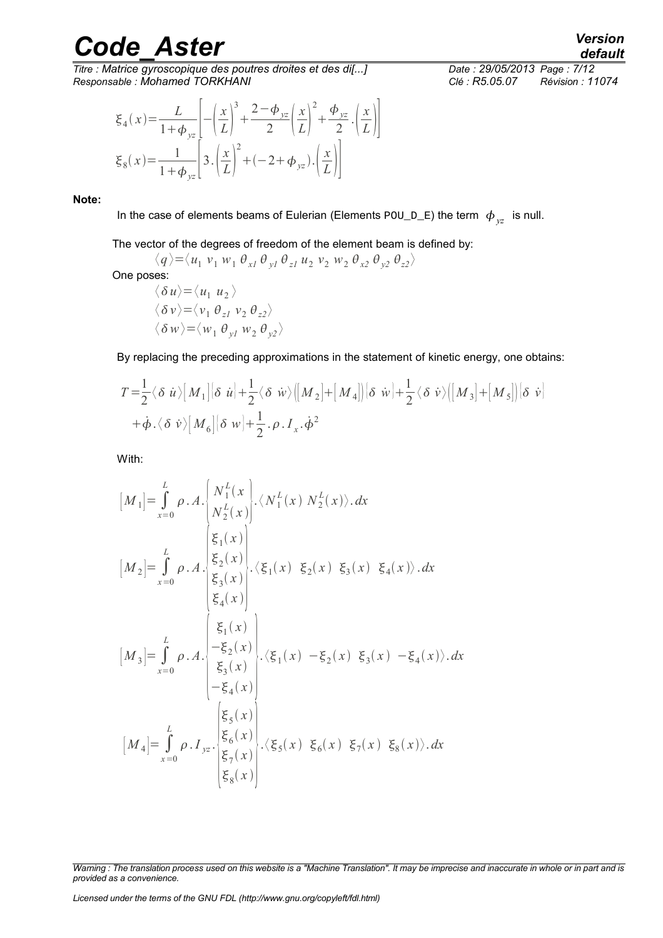*Titre : Matrice gyroscopique des poutres droites et des di[...] Date : 29/05/2013 Page : 7/12 Responsable : Mohamed TORKHANI Clé : R5.05.07 Révision : 11074*

$$
\xi_4(x) = \frac{L}{1 + \phi_{yz}} \left[ -\left(\frac{x}{L}\right)^3 + \frac{2 - \phi_{yz}}{2} \left(\frac{x}{L}\right)^2 + \frac{\phi_{yz}}{2} \cdot \left(\frac{x}{L}\right) \right]
$$
  

$$
\xi_8(x) = \frac{1}{1 + \phi_{yz}} \left[ 3 \cdot \left(\frac{x}{L}\right)^2 + (-2 + \phi_{yz}) \cdot \left(\frac{x}{L}\right) \right]
$$

**Note:**

In the case of elements beams of Eulerian (Elements  $\text{POU\_D\_E}$ ) the term  $\ket{\phi}_{yz}$  is null.

The vector of the degrees of freedom of the element beam is defined by:

$$
\langle q \rangle = \langle u_1 v_1 w_1 \theta_{x1} \theta_{y1} \theta_{z1} u_2 v_2 w_2 \theta_{x2} \theta_{y2} \theta_{z2} \rangle
$$

One poses:

$$
\begin{aligned}\n\langle \delta u \rangle &= \langle u_1 u_2 \rangle \\
\langle \delta v \rangle &= \langle v_1 \theta_{z1} v_2 \theta_{z2} \rangle \\
\langle \delta w \rangle &= \langle w_1 \theta_{y1} w_2 \theta_{y2} \rangle\n\end{aligned}
$$

By replacing the preceding approximations in the statement of kinetic energy, one obtains:

$$
T = \frac{1}{2} \langle \delta \dot{u} \rangle \Big[ M_1 \Big] \Big[ \delta \dot{u} \Big] + \frac{1}{2} \langle \delta \dot{w} \rangle \Big[ \Big[ M_2 \Big] + \Big[ M_4 \Big] \Big] \Big[ \delta \dot{w} \Big] + \frac{1}{2} \langle \delta \dot{v} \rangle \Big[ \Big[ M_3 \Big] + \Big[ M_5 \Big] \Big] \Big[ \delta \dot{v} \Big]
$$
  
+  $\dot{\phi} \cdot \langle \delta \dot{v} \rangle \Big[ M_6 \Big] \Big[ \delta \dot{w} \Big] + \frac{1}{2} \cdot \rho \cdot I_x \cdot \dot{\phi}^2$ 

With:

$$
[M_1] = \int_{x=0}^{L} \rho \cdot A \cdot \begin{cases} N_1^L(x) \\ N_2^L(x) \end{cases} \cdot \langle N_1^L(x) N_2^L(x) \rangle \cdot dx
$$
  
\n
$$
[M_2] = \int_{x=0}^{L} \rho \cdot A \cdot \begin{cases} \xi_1(x) \\ \xi_2(x) \\ \xi_3(x) \end{cases} \cdot \langle \xi_1(x) \xi_2(x) \xi_3(x) \xi_4(x) \rangle \cdot dx
$$
  
\n
$$
[M_3] = \int_{x=0}^{L} \rho \cdot A \cdot \begin{cases} \xi_1(x) \\ \xi_2(x) \\ \xi_3(x) \end{cases} \cdot \langle \xi_1(x) - \xi_2(x) \xi_3(x) - \xi_4(x) \rangle \cdot dx
$$
  
\n
$$
[M_4] = \int_{x=0}^{L} \rho \cdot I_{yz} \cdot \begin{cases} \xi_5(x) \\ \xi_5(x) \\ \xi_7(x) \end{cases} \cdot \langle \xi_5(x) \xi_6(x) \xi_7(x) \xi_8(x) \rangle \cdot dx
$$

*Warning : The translation process used on this website is a "Machine Translation". It may be imprecise and inaccurate in whole or in part and is provided as a convenience.*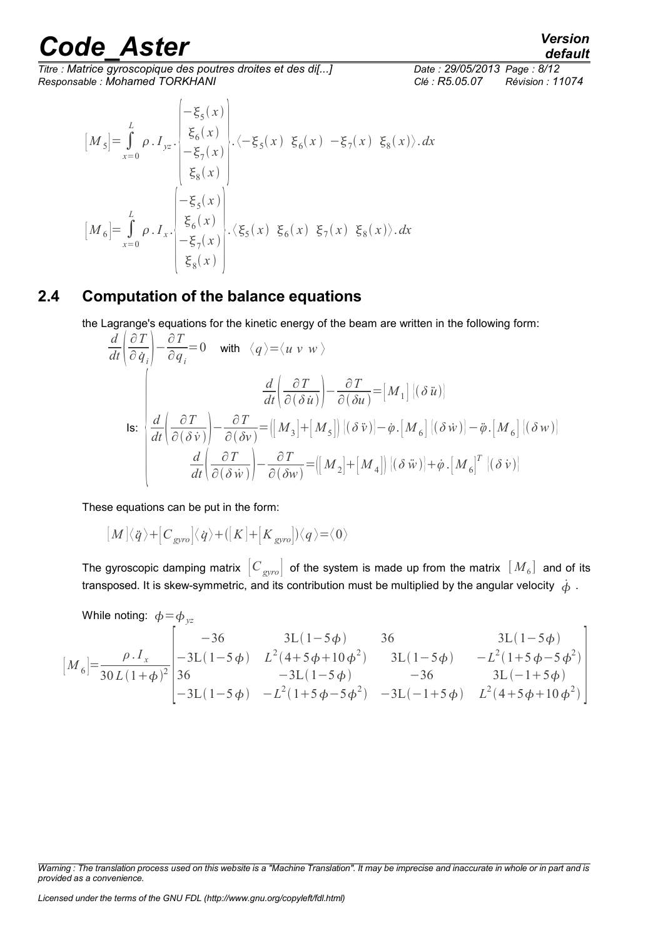$\overline{T}$ itre : Matrice gyroscopique des poutres droites et des di[...] *Responsable : Mohamed TORKHANI Clé : R5.05.07 Révision : 11074*

*default*

$$
[M5] = \int_{x=0}^{L} \rho \cdot I_{yz} \cdot \begin{pmatrix} -\xi_{5}(x) \\ \xi_{6}(x) \\ -\xi_{7}(x) \\ \xi_{8}(x) \end{pmatrix} \cdot \langle -\xi_{5}(x) \xi_{6}(x) - \xi_{7}(x) \xi_{8}(x) \rangle \cdot dx
$$

$$
[M6] = \int_{x=0}^{L} \rho \cdot I_{x} \cdot \begin{pmatrix} -\xi_{5}(x) \\ \xi_{6}(x) \\ -\xi_{7}(x) \\ \xi_{8}(x) \end{pmatrix} \cdot \langle \xi_{5}(x) \xi_{6}(x) \xi_{7}(x) \xi_{8}(x) \rangle \cdot dx
$$

#### **2.4 Computation of the balance equations**

<span id="page-7-0"></span>the Lagrange's equations for the kinetic energy of the beam are written in the following form:

$$
\frac{d}{dt} \left( \frac{\partial T}{\partial \dot{q}_i} \right) - \frac{\partial T}{\partial q_i} = 0 \quad \text{with} \quad \langle q \rangle = \langle u \ v \ w \rangle
$$
\n
$$
\frac{d}{dt} \left( \frac{\partial T}{\partial (\delta \dot{u})} \right) - \frac{\partial T}{\partial (\delta u)} = \left[ M_1 \right] \left[ (\delta \dot{u}) \right]
$$
\n
$$
\text{Is: } \begin{vmatrix} \frac{d}{dt} \left( \frac{\partial T}{\partial (\delta \dot{v})} \right) - \frac{\partial T}{\partial (\delta v)} = \left[ \left[ M_3 \right] + \left[ M_5 \right] \right] \left[ (\delta \dot{v}) \right] - \dot{\varphi} \cdot \left[ M_6 \right] \left[ (\delta \dot{w}) \right] - \ddot{\varphi} \cdot \left[ M_6 \right] \left[ (\delta w) \right]
$$
\n
$$
\frac{d}{dt} \left( \frac{\partial T}{\partial (\delta \dot{w})} \right) - \frac{\partial T}{\partial (\delta w)} = \left[ \left[ M_2 \right] + \left[ M_4 \right] \right] \left[ (\delta \dot{w}) \right] + \dot{\varphi} \cdot \left[ M_6 \right]^T \left[ (\delta \dot{v}) \right]
$$

These equations can be put in the form:

$$
\big[\!\!\big[\,M\big]\!\!\big]\langle\dot q\big\rangle\!+\!\big[\!\!\big[\boldsymbol{C}_{\rm gyro}\big]\!\!\big]\langle\dot q\big\rangle\!+\!\big(\big[\boldsymbol{K}\big]\!+\!\big[\boldsymbol{K}_{\rm gyro}\big]\!\!\big)\langle\boldsymbol{q}\big\rangle\!=\!\!\langle\boldsymbol{0}\rangle
$$

The gyroscopic damping matrix  $\, \big| C_{\mathit{gyro}} \big| \,$  of the system is made up from the matrix  $\, [ \, M_{6} \, ] \,$  and of its transposed. It is skew-symmetric, and its contribution must be multiplied by the angular velocity  $\dot{\phi}$ .

While noting: 
$$
\phi = \phi_{yz}
$$

$$
\begin{bmatrix} M_6 \end{bmatrix} = \frac{\rho \cdot I_x}{30L(1+\phi)^2} \begin{bmatrix} -36 & 3L(1-5\phi) & 36 & 3L(1-5\phi) \\ -3L(1-5\phi) & L^2(4+5\phi+10\phi^2) & 3L(1-5\phi) & -L^2(1+5\phi-5\phi^2) \\ 36 & -3L(1-5\phi) & -36 & 3L(-1+5\phi) \\ -3L(1-5\phi) & -L^2(1+5\phi-5\phi^2) & -3L(-1+5\phi) & L^2(4+5\phi+10\phi^2) \end{bmatrix}
$$

*Warning : The translation process used on this website is a "Machine Translation". It may be imprecise and inaccurate in whole or in part and is provided as a convenience.*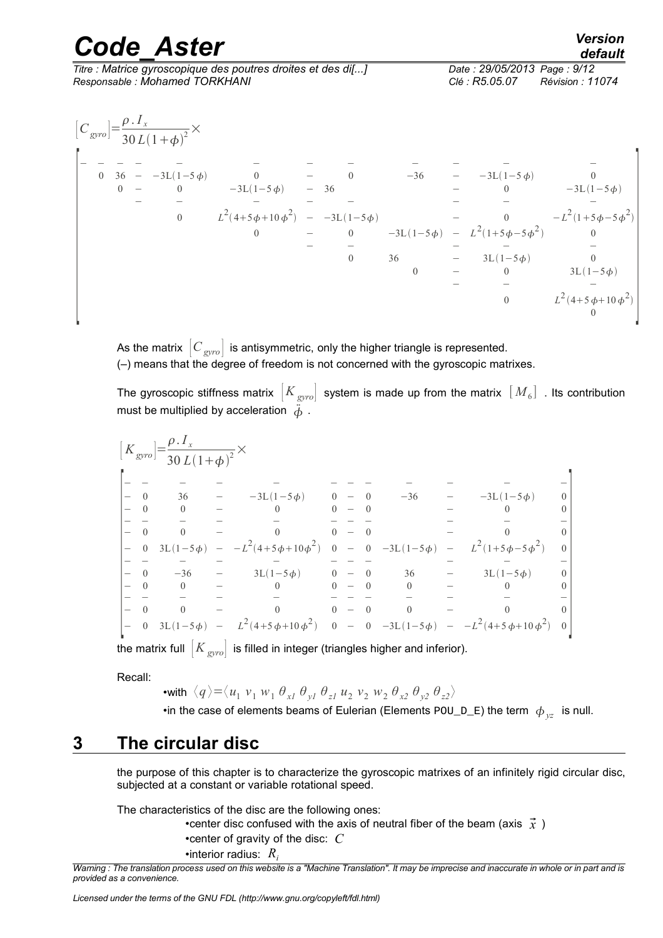|          |  | <b>Code Aster</b>                                                                             | <b>Version</b><br>default                                         |          |  |  |                                                                        |                                                                      |
|----------|--|-----------------------------------------------------------------------------------------------|-------------------------------------------------------------------|----------|--|--|------------------------------------------------------------------------|----------------------------------------------------------------------|
|          |  | Titre : Matrice gyroscopique des poutres droites et des di[]<br>Responsable: Mohamed TORKHANI | Date: 29/05/2013 Page: 9/12<br>Clé : R5.05.07<br>Révision : 11074 |          |  |  |                                                                        |                                                                      |
|          |  | $[C_{\text{gyro}}] = \frac{\rho I_x}{30 L (1+\phi)^2} \times$                                 |                                                                   |          |  |  |                                                                        |                                                                      |
|          |  |                                                                                               |                                                                   |          |  |  |                                                                        |                                                                      |
| $\theta$ |  | $36 - 3L(1-5\phi)$                                                                            |                                                                   |          |  |  | $0 - 36 - 3L(1-5\phi) - 36$<br>-3L(1-5 $\phi$ ) - 36 - 3L(1-5 $\phi$ ) |                                                                      |
|          |  | $\begin{matrix} 0 & - & 0 \end{matrix}$                                                       | $-3L(1-5\phi)$                                                    | $-36$    |  |  |                                                                        | $-3L(1-5\phi)$                                                       |
|          |  |                                                                                               |                                                                   |          |  |  |                                                                        |                                                                      |
|          |  |                                                                                               |                                                                   |          |  |  |                                                                        | $L^2(4+5\phi+10\phi^2)$ $-3L(1-5\phi)$ $-$ 0 $-L^2(1+5\phi-5\phi^2)$ |
|          |  |                                                                                               |                                                                   |          |  |  | 0 - 0 $-3L(1-5\phi) - L^2(1+5\phi-5\phi^2)$                            |                                                                      |
|          |  |                                                                                               |                                                                   |          |  |  |                                                                        |                                                                      |
|          |  |                                                                                               |                                                                   | $\theta$ |  |  |                                                                        | $\theta$                                                             |
|          |  |                                                                                               |                                                                   |          |  |  | 36 - $3L(1-5\phi)$<br>0 - $0$                                          | $3L(1-5\phi)$                                                        |
|          |  |                                                                                               |                                                                   |          |  |  |                                                                        |                                                                      |
|          |  |                                                                                               |                                                                   |          |  |  | $\overline{0}$                                                         | $L^2(4+5\phi+10\phi^2)$                                              |
|          |  |                                                                                               |                                                                   |          |  |  |                                                                        |                                                                      |

As the matrix  $\left[C_{\text{gyro}}\right]$  is antisymmetric, only the higher triangle is represented. (–) means that the degree of freedom is not concerned with the gyroscopic matrixes.

The gyroscopic stiffness matrix  $\left|K_{\text{gyro}}\right|$  system is made up from the matrix  $\left[\,M_{\,6}\right]$  . Its contribution must be multiplied by acceleration  $\ddot{\phi}$ .

| 36             |                |                |                                                                                      |  |                                                                                                                                     |  |                                                                                                                                                                                                                                                                                            |
|----------------|----------------|----------------|--------------------------------------------------------------------------------------|--|-------------------------------------------------------------------------------------------------------------------------------------|--|--------------------------------------------------------------------------------------------------------------------------------------------------------------------------------------------------------------------------------------------------------------------------------------------|
| $\overline{0}$ |                |                |                                                                                      |  |                                                                                                                                     |  |                                                                                                                                                                                                                                                                                            |
|                |                |                |                                                                                      |  |                                                                                                                                     |  |                                                                                                                                                                                                                                                                                            |
| $\theta$       |                |                |                                                                                      |  |                                                                                                                                     |  |                                                                                                                                                                                                                                                                                            |
|                |                |                |                                                                                      |  |                                                                                                                                     |  |                                                                                                                                                                                                                                                                                            |
|                |                |                |                                                                                      |  |                                                                                                                                     |  |                                                                                                                                                                                                                                                                                            |
|                |                |                |                                                                                      |  |                                                                                                                                     |  |                                                                                                                                                                                                                                                                                            |
|                |                |                |                                                                                      |  | $\overline{0}$                                                                                                                      |  |                                                                                                                                                                                                                                                                                            |
|                |                |                |                                                                                      |  |                                                                                                                                     |  |                                                                                                                                                                                                                                                                                            |
| $\overline{0}$ |                | $\overline{0}$ |                                                                                      |  | $\Omega$                                                                                                                            |  |                                                                                                                                                                                                                                                                                            |
|                |                |                |                                                                                      |  |                                                                                                                                     |  |                                                                                                                                                                                                                                                                                            |
|                | $\overline{0}$ |                | $\left[K_{\text{gyro}}\right] = \frac{\rho \cdot I_{x}}{30 \, L(1+\phi)^{2}} \times$ |  | $ -3L(1-5\phi)$ 0 - 0<br>$\begin{array}{cccc} 0 & - & 0 \end{array}$<br>$0 - 0$<br>$-36$ $-3L(1-5\phi)$ 0 - 0<br>$0 - 0$<br>$0 - 0$ |  | $-36$ $-3L(1-5\phi)$<br>$\begin{array}{ccccccccc} - & 0 & 3L(1-5\phi) & - & -L^2(4+5\phi+10\phi^2) & 0 & - & 0 & -3L(1-5\phi) & - & L^2(1+5\phi-5\phi^2) \end{array}$<br>$36 - 3L(1-5\phi)$<br>0 $3L(1-5\phi)$ - $L^2(4+5\phi+10\phi^2)$ 0 - 0 $-3L(1-5\phi)$ - $-L^2(4+5\phi+10\phi^2)$ 0 |

the matrix full  $\left| K_{\it gyro} \right|$  is filled in integer (triangles higher and inferior).

Recall:

•with  $\langle q \rangle = \langle u_1 v_1 w_1 \theta_{xI} \theta_{yI} \theta_{zI} u_2 v_2 w_2 \theta_{x2} \theta_{y2} \theta_{z2} \rangle$ •in the case of elements beams of Eulerian (Elements  $\text{POU\_D\_E}$ ) the term  $\phi_{yz}$  is null.

### **3 The circular disc**

<span id="page-8-0"></span>the purpose of this chapter is to characterize the gyroscopic matrixes of an infinitely rigid circular disc, subjected at a constant or variable rotational speed.

The characteristics of the disc are the following ones:

•center disc confused with the axis of neutral fiber of the beam (axis  $\vec{x}$ ) •center of gravity of the disc: *C* •interior radius: *R<sup>i</sup>*

*Warning : The translation process used on this website is a "Machine Translation". It may be imprecise and inaccurate in whole or in part and is provided as a convenience.*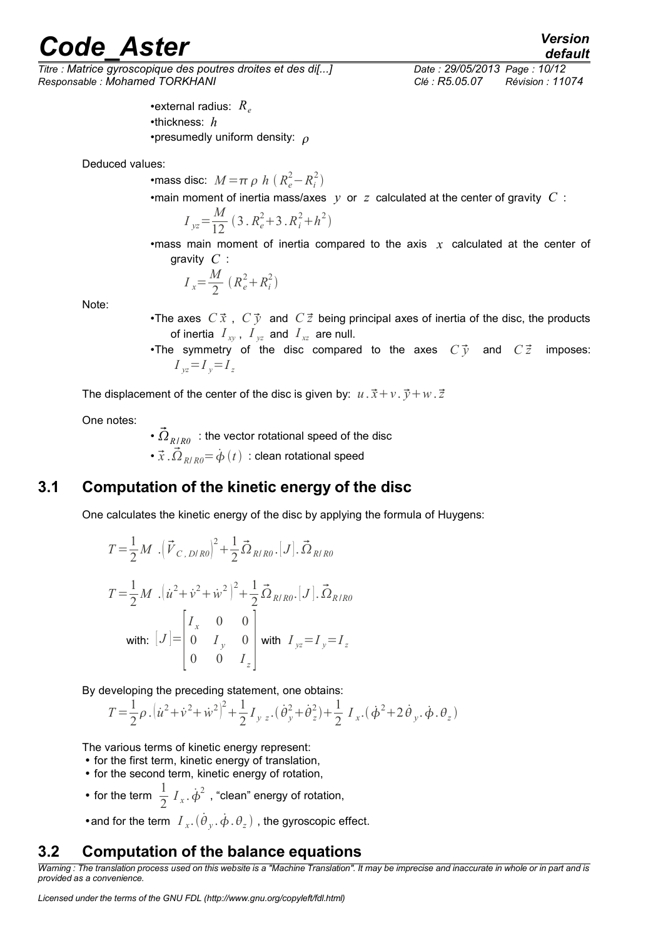*Titre : Matrice gyroscopique des poutres droites et des di[...] Date : 29/05/2013 Page : 10/12 Responsable : Mohamed TORKHANI Clé : R5.05.07 Révision : 11074*

> •external radius:  $R_e$ •thickness: *h* •presumedly uniform density:  $\rho$

Deduced values:

•mass disc:  $M = \pi \rho \ h \ (R_e^2 - R_i^2)$ 

•main moment of inertia mass/axes *y* or *z* calculated at the center of gravity *C* :

$$
I_{yz} = \frac{M}{12} (3 \cdot R_e^2 + 3 \cdot R_i^2 + h^2)
$$

•mass main moment of inertia compared to the axis *x* calculated at the center of gravity *C* :

$$
I_x = \frac{M}{2} (R_e^2 + R_i^2)
$$

Note:

•The axes  $C\vec{x}$ ,  $C\vec{y}$  and  $C\vec{z}$  being principal axes of inertia of the disc, the products of inertia  $I_{xy}$ ,  $I_{yz}$  and  $I_{xz}$  are null.

•The symmetry of the disc compared to the axes  $C\vec{y}$  and  $C\vec{z}$  imposes:  $I_y = I_z = I_z$ 

The displacement of the center of the disc is given by:  $u \cdot \vec{x} + v \cdot \vec{y} + w \cdot \vec{z}$ 

One notes:

•  ${\vec \Omega}_{R/R0}\;$  : the vector rotational speed of the disc •  $\vec{x}$  . $\vec{\Omega}_{R/R0}{=}\,\dot{\phi}\left(t\right)\,$  : clean rotational speed

### **3.1 Computation of the kinetic energy of the disc**

<span id="page-9-1"></span>One calculates the kinetic energy of the disc by applying the formula of Huygens:

$$
T = \frac{1}{2} M \left( \vec{V}_{C, D/R0} \right)^2 + \frac{1}{2} \vec{\Omega}_{R/R0} \left[ J \right] \cdot \vec{\Omega}_{R/R0}
$$
  
\n
$$
T = \frac{1}{2} M \left( \dot{u}^2 + \dot{v}^2 + \dot{w}^2 \right)^2 + \frac{1}{2} \vec{\Omega}_{R/R0} \left[ J \right] \cdot \vec{\Omega}_{R/R0}
$$
  
\nwith: 
$$
[J] = \begin{bmatrix} I_x & 0 & 0 \\ 0 & I_y & 0 \\ 0 & 0 & I_z \end{bmatrix}
$$
 with  $I_{yz} = I_y = I_z$ 

By developing the preceding statement, one obtains:

$$
T = \frac{1}{2}\rho \left[ \dot{u}^2 + \dot{v}^2 + \dot{w}^2 \right]^2 + \frac{1}{2}I_{yz} \left( \dot{\theta}_y^2 + \dot{\theta}_z^2 \right) + \frac{1}{2}I_{xz} \left( \dot{\phi}^2 + 2\dot{\theta}_y \dot{\phi} \cdot \dot{\phi} \right)
$$

The various terms of kinetic energy represent:

- for the first term, kinetic energy of translation,
- for the second term, kinetic energy of rotation,
- for the term  $\frac{1}{2}$  $\frac{1}{2}$   $I_x$ .  $\dot{\phi}^2$ , "clean" energy of rotation,

<span id="page-9-0"></span>• and for the term  $I_{x}$ . $(\dot{\theta}_{y}, \dot{\phi}, \theta_{z})$  , the gyroscopic effect.

#### **3.2 Computation of the balance equations**

*Warning : The translation process used on this website is a "Machine Translation". It may be imprecise and inaccurate in whole or in part and is provided as a convenience.*

*default*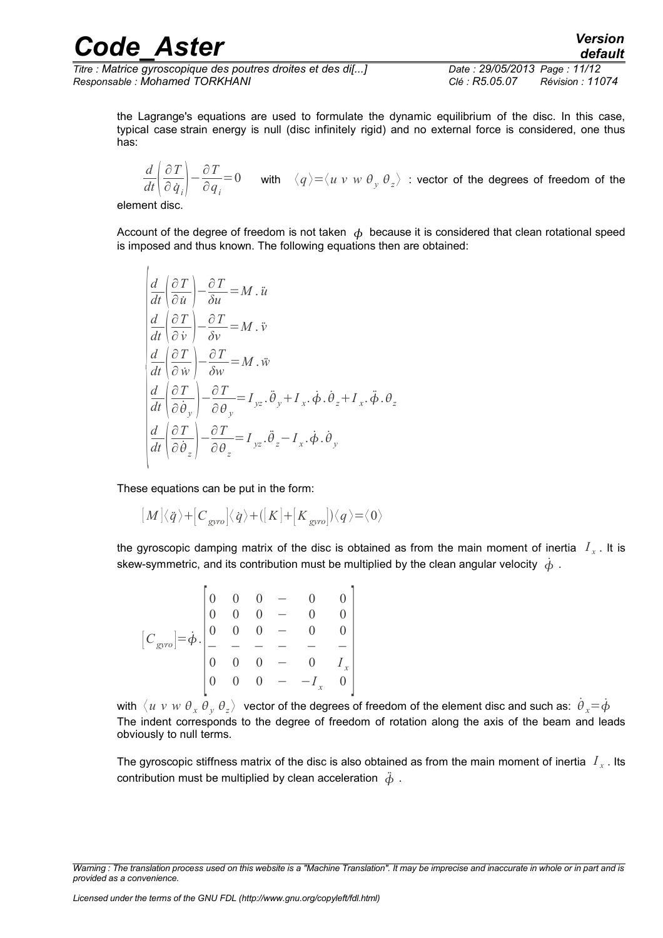*Titre : Matrice gyroscopique des poutres droites et des di[...] Date : 29/05/2013 Page : 11/12 Responsable : Mohamed TORKHANI Clé : R5.05.07 Révision : 11074*

the Lagrange's equations are used to formulate the dynamic equilibrium of the disc. In this case, typical case strain energy is null (disc infinitely rigid) and no external force is considered, one thus has:

*d*  $\overline{dt}$   $\overline{\hat{c}}$ ∂*T*  $\left(\frac{\partial T}{\partial \dot{q}_i}\right) - \frac{\partial T}{\partial q}$  $\frac{\partial I}{\partial q}$  = 0 with  $\langle q \rangle$  =  $\langle u \rangle$  *w w θ*<sub> $y$ </sub> *θ*<sub> $z$ </sub> $\rangle$  : vector of the degrees of freedom of the

element disc.

Account of the degree of freedom is not taken  $\phi$  because it is considered that clean rotational speed is imposed and thus known. The following equations then are obtained:

$$
\begin{cases}\n\frac{d}{dt} \left( \frac{\partial T}{\partial \dot{u}} \right) - \frac{\partial T}{\partial u} = M \cdot \ddot{u} \\
\frac{d}{dt} \left( \frac{\partial T}{\partial \dot{v}} \right) - \frac{\partial T}{\partial v} = M \cdot \ddot{v} \\
\frac{d}{dt} \left( \frac{\partial T}{\partial \dot{w}} \right) - \frac{\partial T}{\partial w} = M \cdot \ddot{w} \\
\frac{d}{dt} \left( \frac{\partial T}{\partial \dot{\theta}_y} \right) - \frac{\partial T}{\partial \theta_y} = I_{yz} \cdot \ddot{\theta}_y + I_x \cdot \dot{\phi} \cdot \dot{\theta}_z + I_x \cdot \ddot{\phi} \cdot \theta_z \\
\frac{d}{dt} \left( \frac{\partial T}{\partial \dot{\theta}_z} \right) - \frac{\partial T}{\partial \theta_z} = I_{yz} \cdot \ddot{\theta}_z - I_x \cdot \dot{\phi} \cdot \dot{\theta}_y\n\end{cases}
$$

These equations can be put in the form:

$$
[\![M]\langle\dot q\rangle+[\![C_{\rm gyro}]\langle\dot q\rangle+([\![K]\!]+[\![K_{\rm gyro}]\!])\langle q\rangle\!=\!\langle 0\rangle
$$

the gyroscopic damping matrix of the disc is obtained as from the main moment of inertia  $|I_{x}|$ . It is skew-symmetric, and its contribution must be multiplied by the clean angular velocity  $\phi$ .

$$
[C_{\text{gyro}}] = \dot{\phi} \cdot \begin{bmatrix} 0 & 0 & 0 & - & 0 & 0 \\ 0 & 0 & 0 & - & 0 & 0 \\ 0 & 0 & 0 & - & 0 & 0 \\ - & - & - & - & - & - \\ 0 & 0 & 0 & - & 0 & I_x \\ 0 & 0 & 0 & - & -I_x & 0 \end{bmatrix}
$$

with  $\vec{x}$   $u$   $v$   $w$   $\theta$   $_x$   $\theta$   $_y$   $\theta$   $_z$   $>$  vector of the degrees of freedom of the element disc and such as:  $\dot{\theta}$   $_x = \dot{\phi}$ The indent corresponds to the degree of freedom of rotation along the axis of the beam and leads obviously to null terms.

The gyroscopic stiffness matrix of the disc is also obtained as from the main moment of inertia  $\;I_x$  . Its contribution must be multiplied by clean acceleration  $\ddot{\phi}$ .

*Warning : The translation process used on this website is a "Machine Translation". It may be imprecise and inaccurate in whole or in part and is provided as a convenience.*